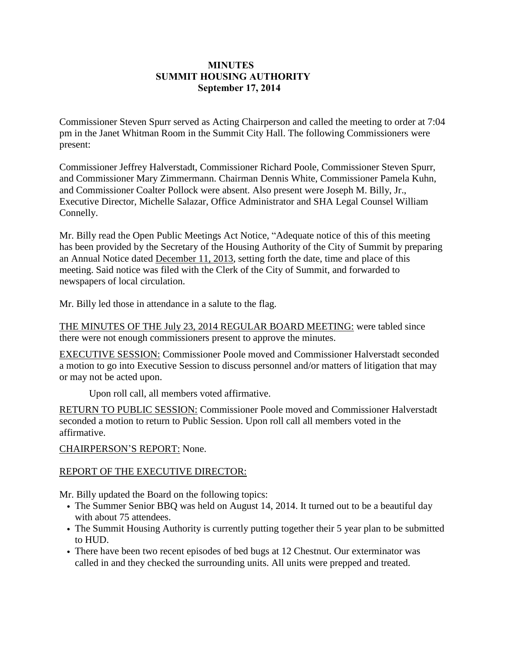## **MINUTES SUMMIT HOUSING AUTHORITY September 17, 2014**

Commissioner Steven Spurr served as Acting Chairperson and called the meeting to order at 7:04 pm in the Janet Whitman Room in the Summit City Hall. The following Commissioners were present:

Commissioner Jeffrey Halverstadt, Commissioner Richard Poole, Commissioner Steven Spurr, and Commissioner Mary Zimmermann. Chairman Dennis White, Commissioner Pamela Kuhn, and Commissioner Coalter Pollock were absent. Also present were Joseph M. Billy, Jr., Executive Director, Michelle Salazar, Office Administrator and SHA Legal Counsel William Connelly.

Mr. Billy read the Open Public Meetings Act Notice, "Adequate notice of this of this meeting has been provided by the Secretary of the Housing Authority of the City of Summit by preparing an Annual Notice dated December 11, 2013, setting forth the date, time and place of this meeting. Said notice was filed with the Clerk of the City of Summit, and forwarded to newspapers of local circulation.

Mr. Billy led those in attendance in a salute to the flag.

THE MINUTES OF THE July 23, 2014 REGULAR BOARD MEETING: were tabled since there were not enough commissioners present to approve the minutes.

EXECUTIVE SESSION: Commissioner Poole moved and Commissioner Halverstadt seconded a motion to go into Executive Session to discuss personnel and/or matters of litigation that may or may not be acted upon.

Upon roll call, all members voted affirmative.

RETURN TO PUBLIC SESSION: Commissioner Poole moved and Commissioner Halverstadt seconded a motion to return to Public Session. Upon roll call all members voted in the affirmative.

CHAIRPERSON'S REPORT: None.

## REPORT OF THE EXECUTIVE DIRECTOR:

Mr. Billy updated the Board on the following topics:

- The Summer Senior BBQ was held on August 14, 2014. It turned out to be a beautiful day with about 75 attendees.
- The Summit Housing Authority is currently putting together their 5 year plan to be submitted to HUD.
- There have been two recent episodes of bed bugs at 12 Chestnut. Our exterminator was called in and they checked the surrounding units. All units were prepped and treated.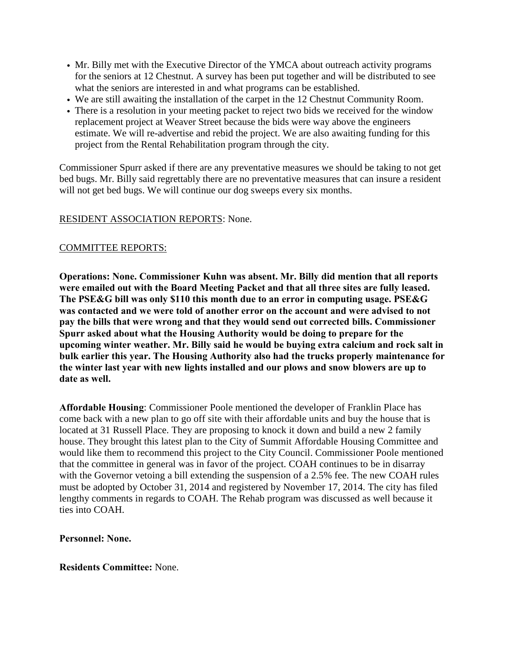- Mr. Billy met with the Executive Director of the YMCA about outreach activity programs for the seniors at 12 Chestnut. A survey has been put together and will be distributed to see what the seniors are interested in and what programs can be established.
- We are still awaiting the installation of the carpet in the 12 Chestnut Community Room.
- There is a resolution in your meeting packet to reject two bids we received for the window replacement project at Weaver Street because the bids were way above the engineers estimate. We will re-advertise and rebid the project. We are also awaiting funding for this project from the Rental Rehabilitation program through the city.

Commissioner Spurr asked if there are any preventative measures we should be taking to not get bed bugs. Mr. Billy said regrettably there are no preventative measures that can insure a resident will not get bed bugs. We will continue our dog sweeps every six months.

## RESIDENT ASSOCIATION REPORTS: None.

# COMMITTEE REPORTS:

**Operations: None. Commissioner Kuhn was absent. Mr. Billy did mention that all reports were emailed out with the Board Meeting Packet and that all three sites are fully leased. The PSE&G bill was only \$110 this month due to an error in computing usage. PSE&G was contacted and we were told of another error on the account and were advised to not pay the bills that were wrong and that they would send out corrected bills. Commissioner Spurr asked about what the Housing Authority would be doing to prepare for the upcoming winter weather. Mr. Billy said he would be buying extra calcium and rock salt in bulk earlier this year. The Housing Authority also had the trucks properly maintenance for the winter last year with new lights installed and our plows and snow blowers are up to date as well.**

**Affordable Housing**: Commissioner Poole mentioned the developer of Franklin Place has come back with a new plan to go off site with their affordable units and buy the house that is located at 31 Russell Place. They are proposing to knock it down and build a new 2 family house. They brought this latest plan to the City of Summit Affordable Housing Committee and would like them to recommend this project to the City Council. Commissioner Poole mentioned that the committee in general was in favor of the project. COAH continues to be in disarray with the Governor vetoing a bill extending the suspension of a 2.5% fee. The new COAH rules must be adopted by October 31, 2014 and registered by November 17, 2014. The city has filed lengthy comments in regards to COAH. The Rehab program was discussed as well because it ties into COAH.

## **Personnel: None.**

## **Residents Committee:** None.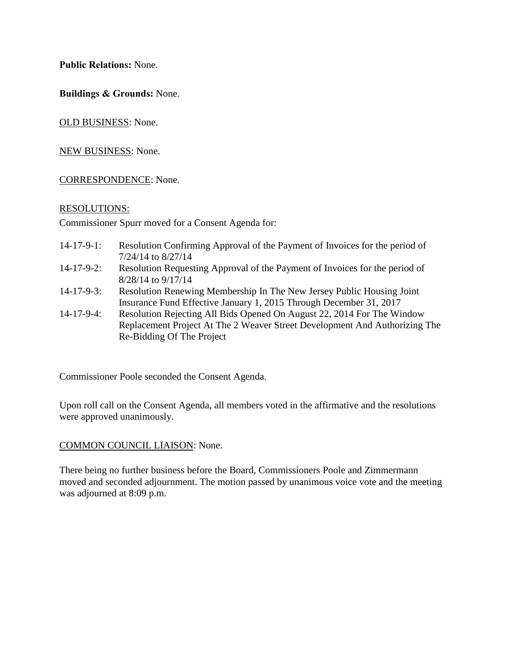**Public Relations:** None.

**Buildings & Grounds:** None.

OLD BUSINESS: None.

NEW BUSINESS: None.

#### CORRESPONDENCE: None.

#### RESOLUTIONS:

Commissioner Spurr moved for a Consent Agenda for:

- 14-17-9-1: Resolution Confirming Approval of the Payment of Invoices for the period of 7/24/14 to 8/27/14
- 14-17-9-2: Resolution Requesting Approval of the Payment of Invoices for the period of 8/28/14 to 9/17/14
- 14-17-9-3: Resolution Renewing Membership In The New Jersey Public Housing Joint Insurance Fund Effective January 1, 2015 Through December 31, 2017
- 14-17-9-4: Resolution Rejecting All Bids Opened On August 22, 2014 For The Window Replacement Project At The 2 Weaver Street Development And Authorizing The Re-Bidding Of The Project

Commissioner Poole seconded the Consent Agenda.

Upon roll call on the Consent Agenda, all members voted in the affirmative and the resolutions were approved unanimously.

#### COMMON COUNCIL LIAISON: None.

There being no further business before the Board, Commissioners Poole and Zimmermann moved and seconded adjournment. The motion passed by unanimous voice vote and the meeting was adjourned at 8:09 p.m.